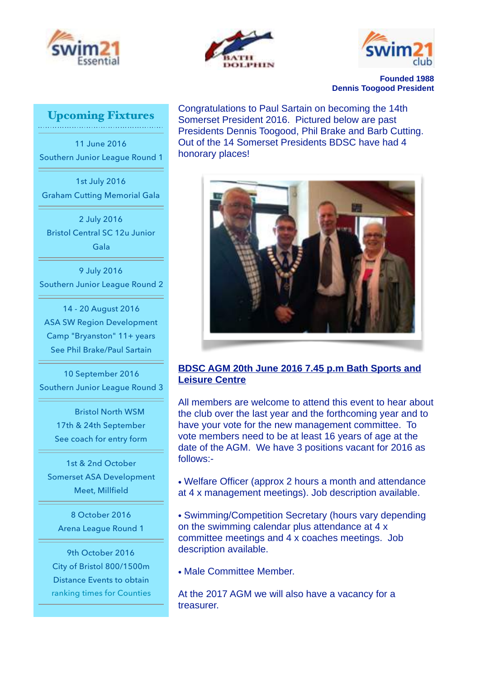





**Founded 1988 Dennis Toogood President**

# Upcoming Fixtures

11 June 2016 Southern Junior League Round 1

1st July 2016 Graham Cutting Memorial Gala

2 July 2016 Bristol Central SC 12u Junior Gala

9 July 2016 Southern Junior League Round 2

14 - 20 August 2016 ASA SW Region Development Camp "Bryanston" 11+ years See Phil Brake/Paul Sartain

10 September 2016 Southern Junior League Round 3

> Bristol North WSM 17th & 24th September See coach for entry form

1st & 2nd October Somerset ASA Development Meet, Millfield

8 October 2016 Arena League Round 1

9th October 2016 City of Bristol 800/1500m Distance Events to obtain ranking times for Counties Congratulations to Paul Sartain on becoming the 14th Somerset President 2016. Pictured below are past Presidents Dennis Toogood, Phil Brake and Barb Cutting. Out of the 14 Somerset Presidents BDSC have had 4 honorary places!



# **BDSC AGM 20th June 2016 7.45 p.m Bath Sports and Leisure Centre**

All members are welcome to attend this event to hear about the club over the last year and the forthcoming year and to have your vote for the new management committee. To vote members need to be at least 16 years of age at the date of the AGM. We have 3 positions vacant for 2016 as follows:-

• Welfare Officer (approx 2 hours a month and attendance at 4 x management meetings). Job description available.

• Swimming/Competition Secretary (hours vary depending on the swimming calendar plus attendance at 4 x committee meetings and 4 x coaches meetings. Job description available.

• Male Committee Member.

At the 2017 AGM we will also have a vacancy for a treasurer.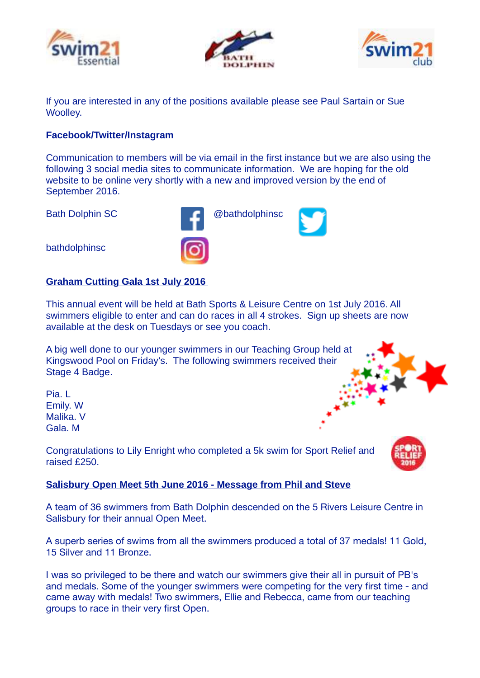





If you are interested in any of the positions available please see Paul Sartain or Sue Woolley.

### **Facebook/Twitter/Instagram**

Communication to members will be via email in the first instance but we are also using the following 3 social media sites to communicate information. We are hoping for the old website to be online very shortly with a new and improved version by the end of September 2016.

Bath Dolphin SC **and Contact Contact Contact Contact Contact Contact Contact Contact Contact Contact Contact Contact Contact Contact Contact Contact Contact Contact Contact Contact Contact Contact Contact Contact Contact C** 

bathdolphinsc

# **Graham Cutting Gala 1st July 2016**

This annual event will be held at Bath Sports & Leisure Centre on 1st July 2016. All swimmers eligible to enter and can do races in all 4 strokes. Sign up sheets are now available at the desk on Tuesdays or see you coach.

A big well done to our younger swimmers in our Teaching Group held at Kingswood Pool on Friday's. The following swimmers received their Stage 4 Badge.

Pia. L Emily. W Malika. V Gala. M

Congratulations to Lily Enright who completed a 5k swim for Sport Relief and raised £250.

# **Salisbury Open Meet 5th June 2016 - Message from Phil and Steve**

A team of 36 swimmers from Bath Dolphin descended on the 5 Rivers Leisure Centre in Salisbury for their annual Open Meet.

A superb series of swims from all the swimmers produced a total of 37 medals! 11 Gold, 15 Silver and 11 Bronze.

I was so privileged to be there and watch our swimmers give their all in pursuit of PB's and medals. Some of the younger swimmers were competing for the very first time - and came away with medals! Two swimmers, Ellie and Rebecca, came from our teaching groups to race in their very first Open.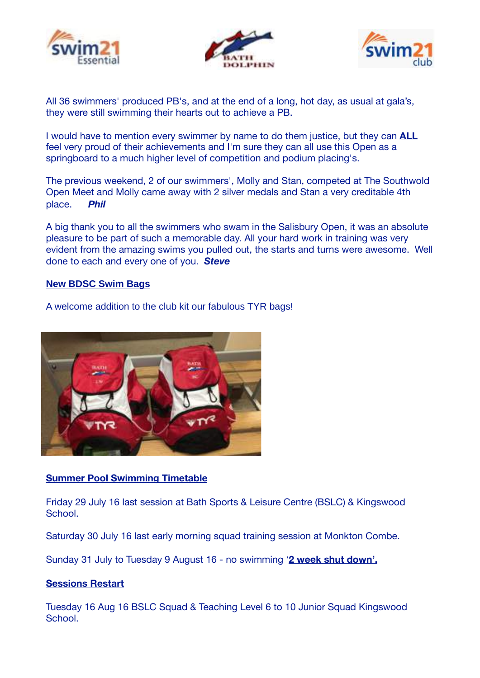





All 36 swimmers' produced PB's, and at the end of a long, hot day, as usual at gala's, they were still swimming their hearts out to achieve a PB.

I would have to mention every swimmer by name to do them justice, but they can **ALL** feel very proud of their achievements and I'm sure they can all use this Open as a springboard to a much higher level of competition and podium placing's.

The previous weekend, 2 of our swimmers', Molly and Stan, competed at The Southwold Open Meet and Molly came away with 2 silver medals and Stan a very creditable 4th place. *Phil*

A big thank you to all the swimmers who swam in the Salisbury Open, it was an absolute pleasure to be part of such a memorable day. All your hard work in training was very evident from the amazing swims you pulled out, the starts and turns were awesome. Well done to each and every one of you. *Steve*

#### **New BDSC Swim Bags**

A welcome addition to the club kit our fabulous TYR bags!



# **Summer Pool Swimming Timetable**

Friday 29 July 16 last session at Bath Sports & Leisure Centre (BSLC) & Kingswood School.

Saturday 30 July 16 last early morning squad training session at Monkton Combe.

Sunday 31 July to Tuesday 9 August 16 - no swimming '**2 week shut down'.** 

#### **Sessions Restart**

Tuesday 16 Aug 16 BSLC Squad & Teaching Level 6 to 10 Junior Squad Kingswood School.